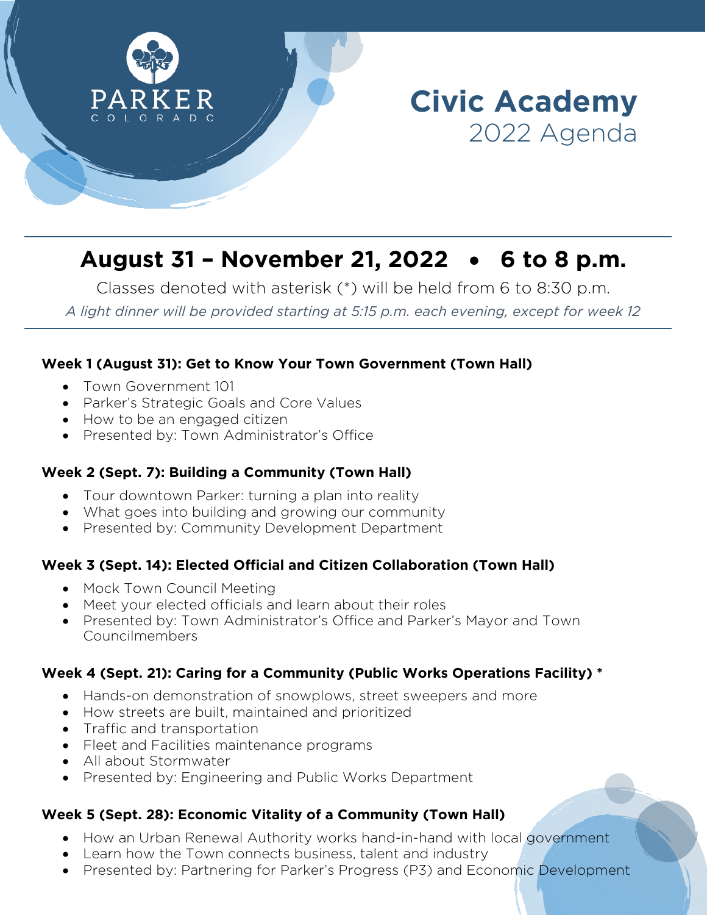

# **August 31 – November 21, 2022** • **6 to 8 p.m.**

Classes denoted with asterisk (\*) will be held from 6 to 8:30 p.m. *A light dinner will be provided starting at 5:15 p.m. each evening, except for week 12*

## **Week 1 (August 31): Get to Know Your Town Government (Town Hall)**

- Town Government 101
- Parker's Strategic Goals and Core Values
- How to be an engaged citizen
- Presented by: Town Administrator's Office

#### **Week 2 (Sept. 7): Building a Community (Town Hall)**

- Tour downtown Parker: turning a plan into reality
- What goes into building and growing our community
- Presented by: Community Development Department

#### **Week 3 (Sept. 14): Elected Official and Citizen Collaboration (Town Hall)**

- Mock Town Council Meeting
- Meet your elected officials and learn about their roles
- Presented by: Town Administrator's Office and Parker's Mayor and Town Councilmembers

#### **Week 4 (Sept. 21): Caring for a Community (Public Works Operations Facility) \***

- Hands-on demonstration of snowplows, street sweepers and more
- How streets are built, maintained and prioritized
- Traffic and transportation
- Fleet and Facilities maintenance programs
- All about Stormwater
- Presented by: Engineering and Public Works Department

# **Week 5 (Sept. 28): Economic Vitality of a Community (Town Hall)**

- How an Urban Renewal Authority works hand-in-hand with local government
- Learn how the Town connects business, talent and industry
- Presented by: Partnering for Parker's Progress (P3) and Economic Development